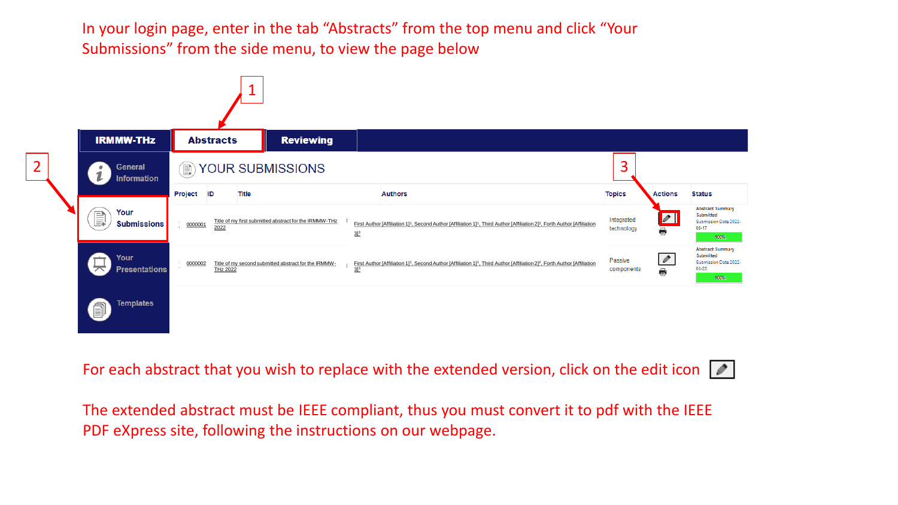In your login page, enter in the tab "Abstracts" from the top menu and click "Your Submissions" from the side menu, to view the page below



For each abstract that you wish to replace with the extended version, click on the edit icon  $||\mathcal{P}||$ 



The extended abstract must be IEEE compliant, thus you must convert it to pdf with the IEEE PDF eXpress site, following the instructions on our webpage.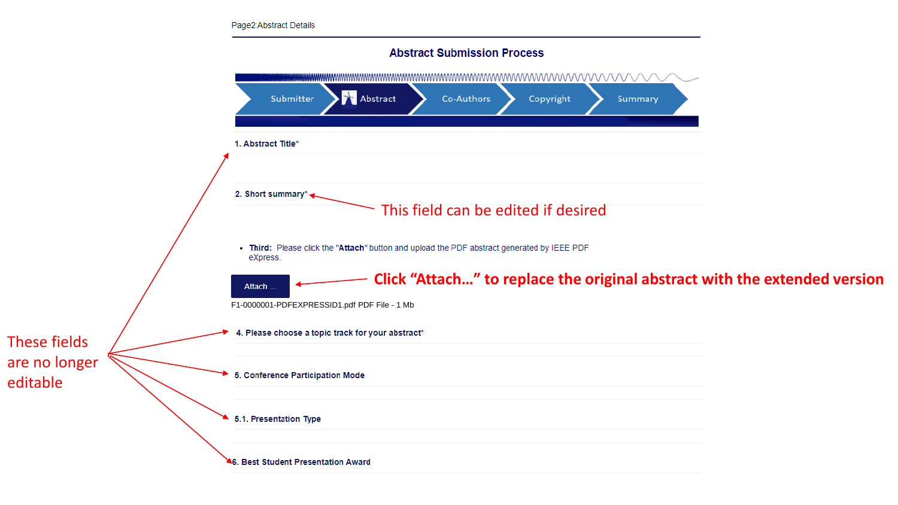## **Abstract Submission Process**

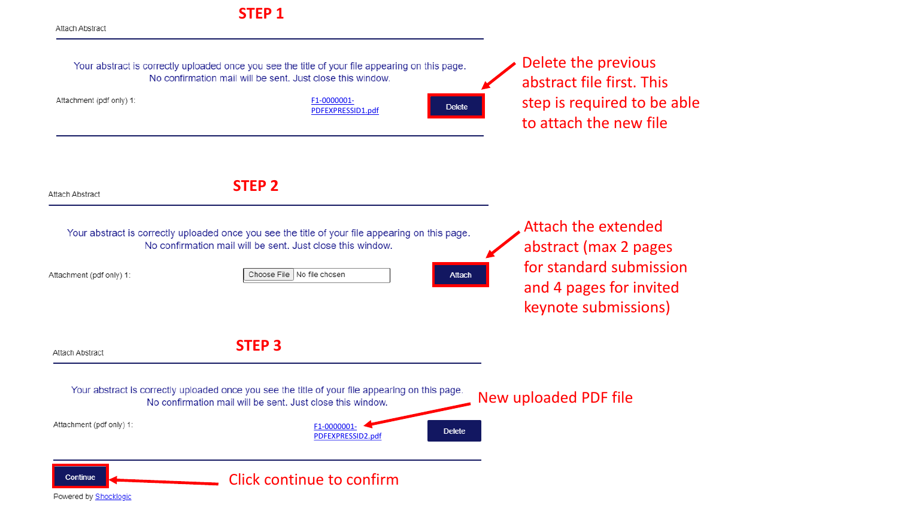

Powered by **Shocklogic**